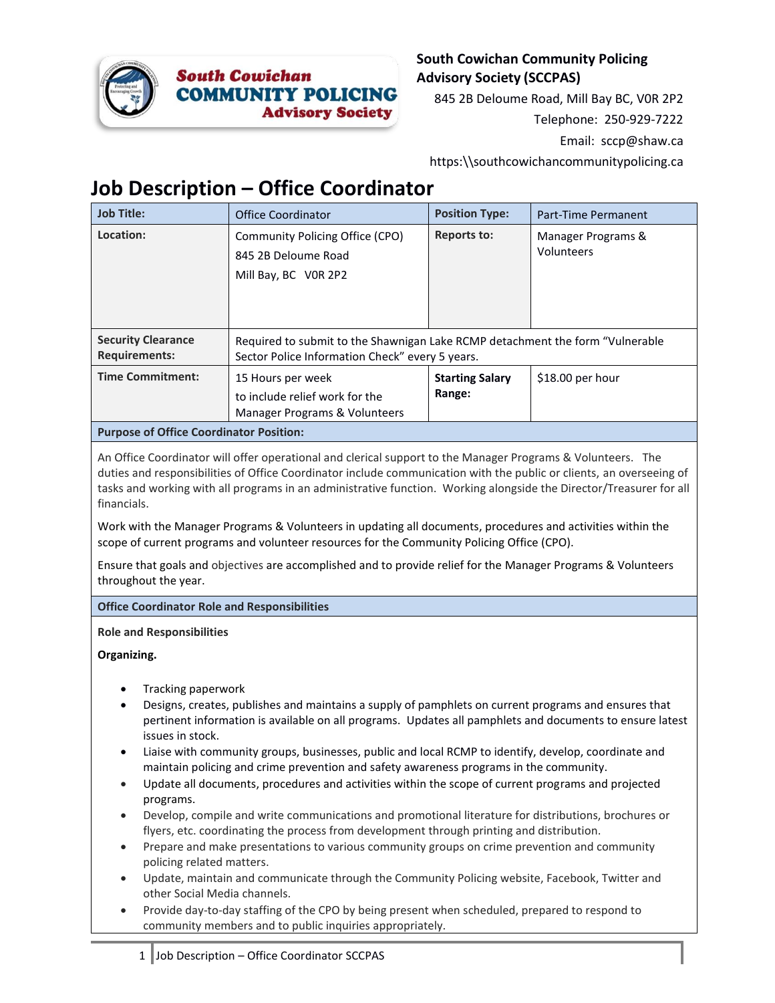

## **South Cowichan COMMUNITY POLICING Advisory Society**

## **South Cowichan Community Policing Advisory Society (SCCPAS)**

845 2B Deloume Road, Mill Bay BC, V0R 2P2 Telephone: 250-929-7222 Email: sccp@shaw.ca

https:\\southcowichancommunitypolicing.ca

# **Job Description – Office Coordinator**

| <b>Job Title:</b>                                 | <b>Office Coordinator</b>                                                                                                         | <b>Position Type:</b>            | <b>Part-Time Permanent</b>       |
|---------------------------------------------------|-----------------------------------------------------------------------------------------------------------------------------------|----------------------------------|----------------------------------|
| Location:                                         | Community Policing Office (CPO)<br>845 2B Deloume Road<br>Mill Bay, BC VOR 2P2                                                    | <b>Reports to:</b>               | Manager Programs &<br>Volunteers |
| <b>Security Clearance</b><br><b>Requirements:</b> | Required to submit to the Shawnigan Lake RCMP detachment the form "Vulnerable"<br>Sector Police Information Check" every 5 years. |                                  |                                  |
| <b>Time Commitment:</b>                           | 15 Hours per week<br>to include relief work for the<br>Manager Programs & Volunteers                                              | <b>Starting Salary</b><br>Range: | \$18.00 per hour                 |
| <b>Purpose of Office Coordinator Position:</b>    |                                                                                                                                   |                                  |                                  |

An Office Coordinator will offer operational and clerical support to the Manager Programs & Volunteers. The duties and responsibilities of Office Coordinator include communication with the public or clients, an overseeing of tasks and working with all programs in an administrative function. Working alongside the Director/Treasurer for all financials.

Work with the Manager Programs & Volunteers in updating all documents, procedures and activities within the scope of current programs and volunteer resources for the Community Policing Office (CPO).

Ensure that goals and objectives are accomplished and to provide relief for the Manager Programs & Volunteers throughout the year.

**Office Coordinator Role and Responsibilities**

### **Role and Responsibilities**

**Organizing.**

- Tracking paperwork
- Designs, creates, publishes and maintains a supply of pamphlets on current programs and ensures that pertinent information is available on all programs. Updates all pamphlets and documents to ensure latest issues in stock.
- Liaise with community groups, businesses, public and local RCMP to identify, develop, coordinate and maintain policing and crime prevention and safety awareness programs in the community.
- Update all documents, procedures and activities within the scope of current programs and projected programs.
- Develop, compile and write communications and promotional literature for distributions, brochures or flyers, etc. coordinating the process from development through printing and distribution.
- Prepare and make presentations to various community groups on crime prevention and community policing related matters.
- Update, maintain and communicate through the Community Policing website, Facebook, Twitter and other Social Media channels.
- Provide day-to-day staffing of the CPO by being present when scheduled, prepared to respond to community members and to public inquiries appropriately.